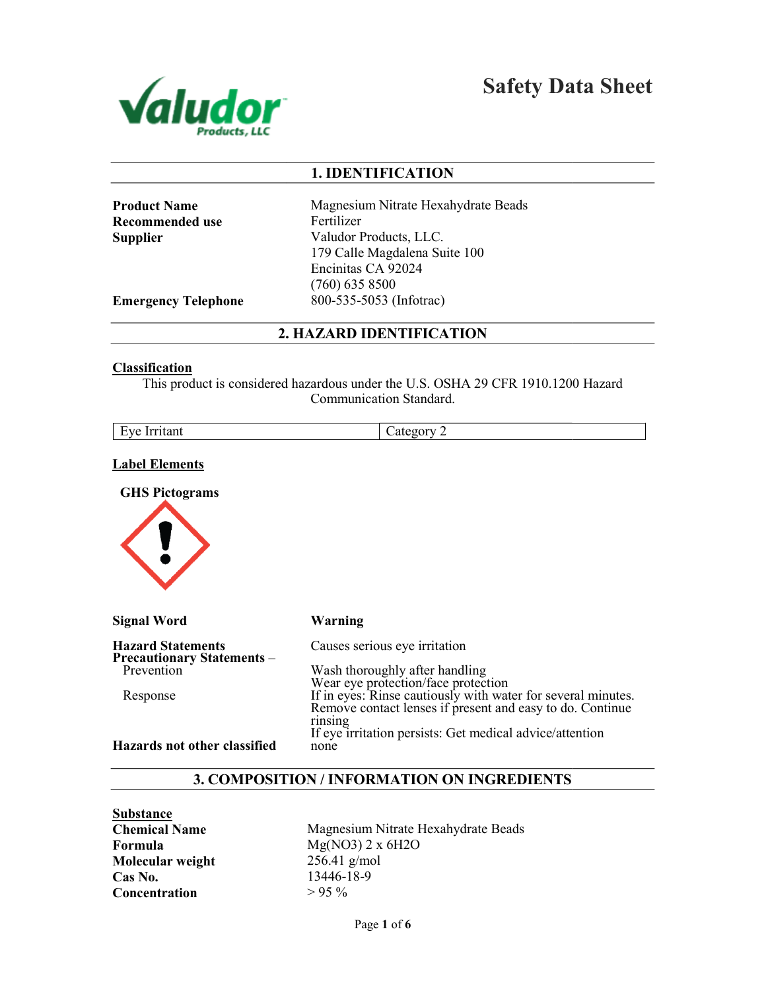

Safety Data Sheet

## 1. IDENTIFICATION

| <b>Product Name</b> |
|---------------------|
| Recommended use     |
| Supplier            |

Magnesium Nitrate Hexahydrate Beads Fertilizer Valudor Products, LLC. 179 Calle Magdalena Suite 100 Encinitas CA 92024 (760) 635 8500 800-535-5053 (Infotrac)

Emergency Telephone

## 2. HAZARD IDENTIFICATION

#### **Classification**

This product is considered hazardous under the U.S. OSHA 29 CFR 1910.1200 Hazard Communication Standard.

|--|

### Label Elements

GHS Pictograms



| <b>Signal Word</b>                                            | <b>Warning</b>                                                                                                                                                   |
|---------------------------------------------------------------|------------------------------------------------------------------------------------------------------------------------------------------------------------------|
| <b>Hazard Statements</b><br><b>Precautionary Statements -</b> | Causes serious eye irritation                                                                                                                                    |
| Prevention                                                    | Wash thoroughly after handling                                                                                                                                   |
| Response                                                      | Wear eye protection/face protection<br>If in eyes: Rinse cautiously with water for several minutes.<br>Remove contact lenses if present and easy to do. Continue |
|                                                               | rinsing<br>If eye irritation persists: Get medical advice/attention                                                                                              |
| Hazards not other classified                                  | none                                                                                                                                                             |

### 3. COMPOSITION / INFORMATION ON INGREDIENTS

**Substance** Chemical Name Formula Molecular weight Cas No. **Concentration** 

Magnesium Nitrate Hexahydrate Beads Mg(NO3) 2 x 6H2O 256.41 g/mol 13446-18-9  $> 95\%$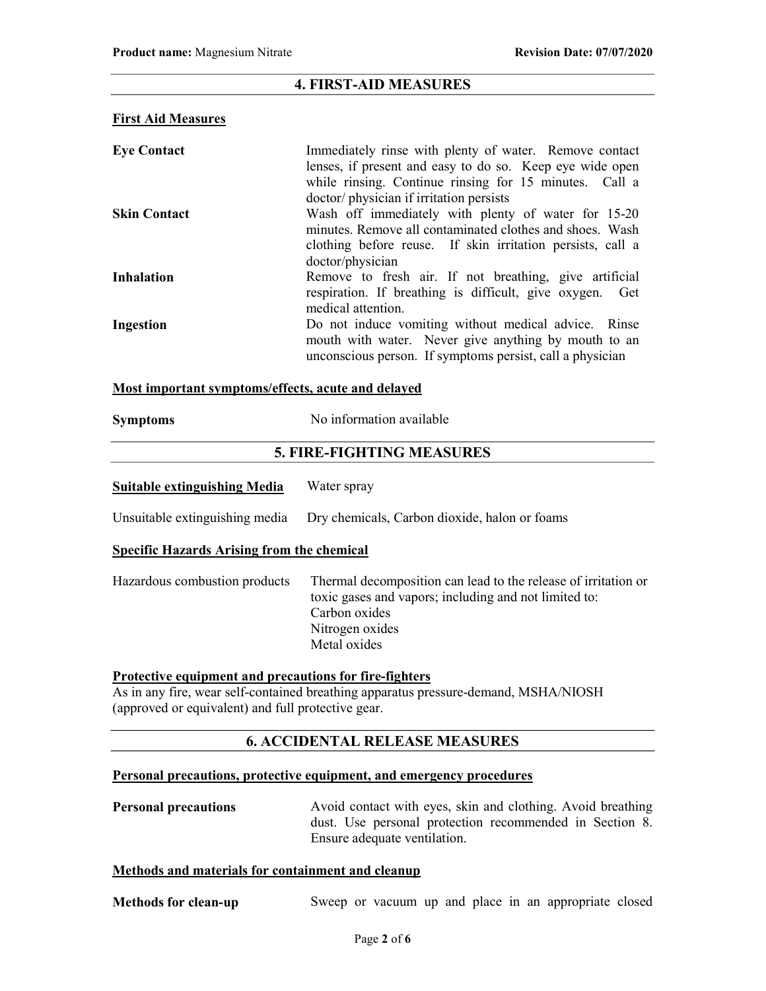## 4. FIRST-AID MEASURES

### First Aid Measures

| <b>Eye Contact</b>  | Immediately rinse with plenty of water. Remove contact<br>lenses, if present and easy to do so. Keep eye wide open<br>while rinsing. Continue rinsing for 15 minutes. Call a |
|---------------------|------------------------------------------------------------------------------------------------------------------------------------------------------------------------------|
|                     | doctor/physician if irritation persists                                                                                                                                      |
| <b>Skin Contact</b> | Wash off immediately with plenty of water for 15-20                                                                                                                          |
|                     | minutes. Remove all contaminated clothes and shoes. Wash<br>clothing before reuse. If skin irritation persists, call a<br>doctor/physician                                   |
| <b>Inhalation</b>   | Remove to fresh air. If not breathing, give artificial<br>respiration. If breathing is difficult, give oxygen. Get<br>medical attention.                                     |
| Ingestion           | Do not induce vomiting without medical advice. Rinse<br>mouth with water. Never give anything by mouth to an<br>unconscious person. If symptoms persist, call a physician    |

### Most important symptoms/effects, acute and delayed

| <b>Symptoms</b>                                   | No information available                      |  |  |  |  |
|---------------------------------------------------|-----------------------------------------------|--|--|--|--|
|                                                   | <b>5. FIRE-FIGHTING MEASURES</b>              |  |  |  |  |
| <b>Suitable extinguishing Media</b>               | Water spray                                   |  |  |  |  |
| Unsuitable extinguishing media                    | Dry chemicals, Carbon dioxide, halon or foams |  |  |  |  |
| <b>Specific Hazards Arising from the chemical</b> |                                               |  |  |  |  |

Hazardous combustion products Thermal decomposition can lead to the release of irritation or toxic gases and vapors; including and not limited to: Carbon oxides Nitrogen oxides

# Protective equipment and precautions for fire-fighters

As in any fire, wear self-contained breathing apparatus pressure-demand, MSHA/NIOSH (approved or equivalent) and full protective gear.

Metal oxides

## 6. ACCIDENTAL RELEASE MEASURES

### Personal precautions, protective equipment, and emergency procedures

| <b>Personal precautions</b> | Avoid contact with eyes, skin and clothing. Avoid breathing |
|-----------------------------|-------------------------------------------------------------|
|                             | dust. Use personal protection recommended in Section 8.     |
|                             | Ensure adequate ventilation.                                |

### Methods and materials for containment and cleanup

| <b>Methods for clean-up</b> |  |  |  |  |  |  |  |  | Sweep or vacuum up and place in an appropriate closed |  |  |
|-----------------------------|--|--|--|--|--|--|--|--|-------------------------------------------------------|--|--|
|-----------------------------|--|--|--|--|--|--|--|--|-------------------------------------------------------|--|--|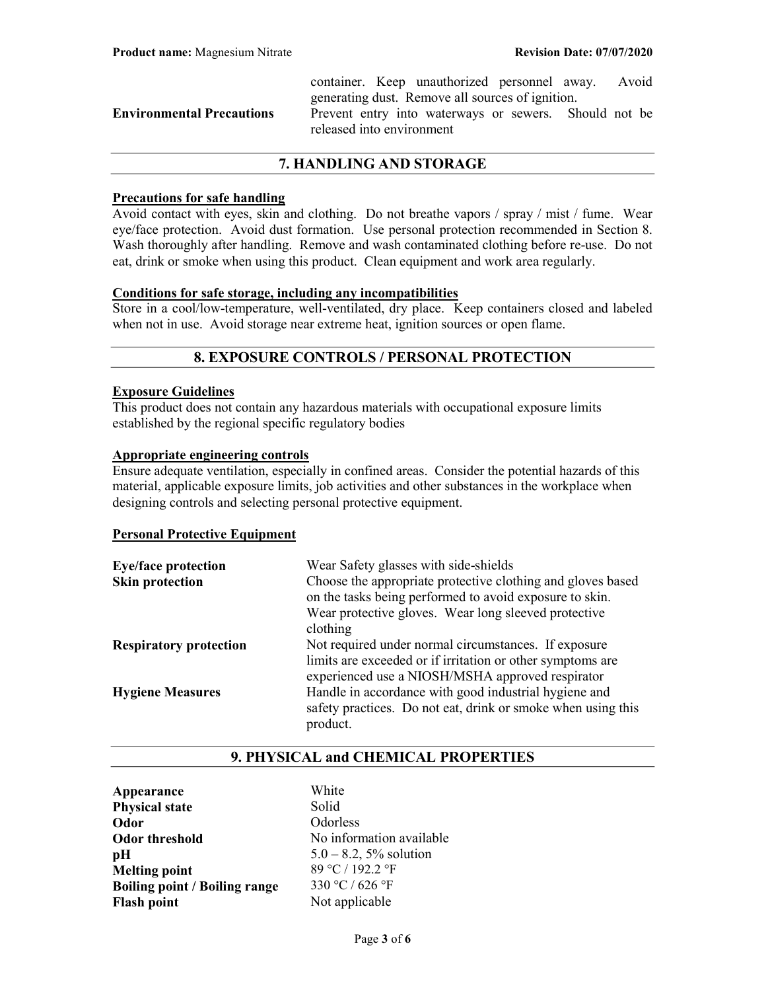|                                  |                           | container. Keep unauthorized personnel away. Avoid    |  |  |
|----------------------------------|---------------------------|-------------------------------------------------------|--|--|
|                                  |                           | generating dust. Remove all sources of ignition.      |  |  |
| <b>Environmental Precautions</b> | released into environment | Prevent entry into waterways or sewers. Should not be |  |  |
|                                  |                           |                                                       |  |  |

## 7. HANDLING AND STORAGE

### Precautions for safe handling

Avoid contact with eyes, skin and clothing. Do not breathe vapors / spray / mist / fume. Wear eye/face protection. Avoid dust formation. Use personal protection recommended in Section 8. Wash thoroughly after handling. Remove and wash contaminated clothing before re-use. Do not eat, drink or smoke when using this product. Clean equipment and work area regularly.

### Conditions for safe storage, including any incompatibilities

Store in a cool/low-temperature, well-ventilated, dry place. Keep containers closed and labeled when not in use. Avoid storage near extreme heat, ignition sources or open flame.

## 8. EXPOSURE CONTROLS / PERSONAL PROTECTION

### Exposure Guidelines

This product does not contain any hazardous materials with occupational exposure limits established by the regional specific regulatory bodies

### Appropriate engineering controls

Ensure adequate ventilation, especially in confined areas. Consider the potential hazards of this material, applicable exposure limits, job activities and other substances in the workplace when designing controls and selecting personal protective equipment.

#### Personal Protective Equipment

| <b>Eye/face protection</b>    | Wear Safety glasses with side-shields                                                                                                                                  |
|-------------------------------|------------------------------------------------------------------------------------------------------------------------------------------------------------------------|
| <b>Skin protection</b>        | Choose the appropriate protective clothing and gloves based<br>on the tasks being performed to avoid exposure to skin.                                                 |
|                               | Wear protective gloves. Wear long sleeved protective<br>clothing                                                                                                       |
| <b>Respiratory protection</b> | Not required under normal circumstances. If exposure<br>limits are exceeded or if irritation or other symptoms are<br>experienced use a NIOSH/MSHA approved respirator |
| <b>Hygiene Measures</b>       | Handle in accordance with good industrial hygiene and<br>safety practices. Do not eat, drink or smoke when using this<br>product.                                      |

## 9. PHYSICAL and CHEMICAL PROPERTIES

Appearance White Physical state Solid Odor Odorless Odor threshold No information available **pH**  $5.0 - 8.2, 5\%$  solution Melting point  $89 \degree C / 192.2 \degree F$ <br>Boiling point / Boiling range  $330 \degree C / 626 \degree F$ Boiling point / Boiling range Flash point Not applicable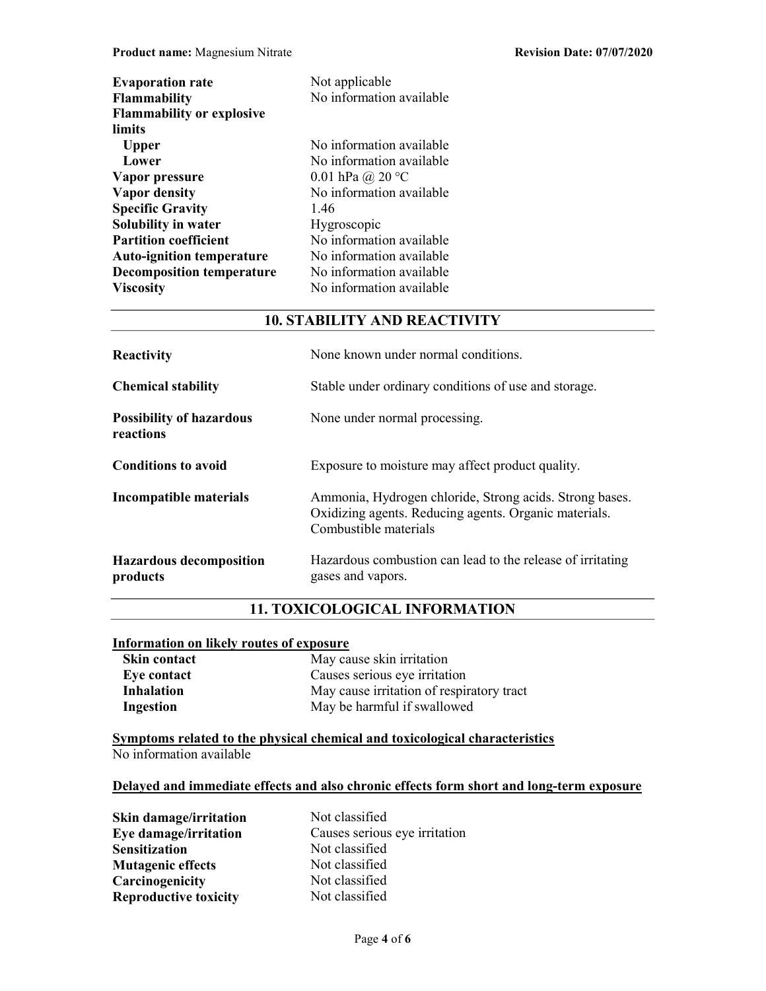| <b>Evaporation rate</b>          | Not applicable            |
|----------------------------------|---------------------------|
| <b>Flammability</b>              | No information available  |
| <b>Flammability or explosive</b> |                           |
| limits                           |                           |
| <b>Upper</b>                     | No information available  |
| Lower                            | No information available  |
| Vapor pressure                   | 0.01 hPa @ 20 $\degree$ C |
| <b>Vapor density</b>             | No information available  |
| <b>Specific Gravity</b>          | 1.46                      |
| Solubility in water              | Hygroscopic               |
| <b>Partition coefficient</b>     | No information available  |
| <b>Auto-ignition temperature</b> | No information available  |
| <b>Decomposition temperature</b> | No information available  |
| <b>Viscosity</b>                 | No information available  |

## 10. STABILITY AND REACTIVITY

| Reactivity                                   | None known under normal conditions.                                                                                                       |
|----------------------------------------------|-------------------------------------------------------------------------------------------------------------------------------------------|
| <b>Chemical stability</b>                    | Stable under ordinary conditions of use and storage.                                                                                      |
| <b>Possibility of hazardous</b><br>reactions | None under normal processing.                                                                                                             |
| <b>Conditions to avoid</b>                   | Exposure to moisture may affect product quality.                                                                                          |
| <b>Incompatible materials</b>                | Ammonia, Hydrogen chloride, Strong acids. Strong bases.<br>Oxidizing agents. Reducing agents. Organic materials.<br>Combustible materials |
| <b>Hazardous decomposition</b><br>products   | Hazardous combustion can lead to the release of irritating<br>gases and vapors.                                                           |

## 11. TOXICOLOGICAL INFORMATION

# Information on likely routes of exposure

| <b>Skin contact</b> | May cause skin irritation                 |
|---------------------|-------------------------------------------|
| Eye contact         | Causes serious eye irritation             |
| <b>Inhalation</b>   | May cause irritation of respiratory tract |
| Ingestion           | May be harmful if swallowed               |

Symptoms related to the physical chemical and toxicological characteristics No information available

## Delayed and immediate effects and also chronic effects form short and long-term exposure

| Skin damage/irritation       | Not classified                |
|------------------------------|-------------------------------|
| Eye damage/irritation        | Causes serious eye irritation |
| <b>Sensitization</b>         | Not classified                |
| <b>Mutagenic effects</b>     | Not classified                |
| Carcinogenicity              | Not classified                |
| <b>Reproductive toxicity</b> | Not classified                |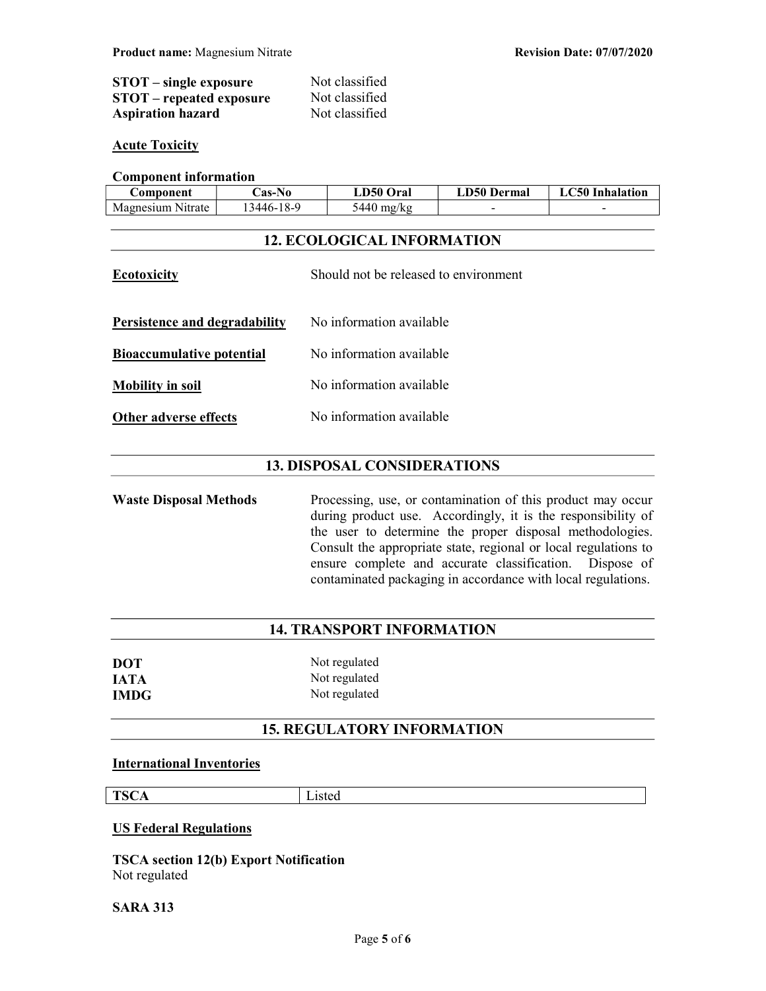| $STOT$ – single exposure        | Not classified |
|---------------------------------|----------------|
| <b>STOT</b> – repeated exposure | Not classified |
| <b>Aspiration hazard</b>        | Not classified |

### **Acute Toxicity**

## Component information

| <b>Component</b>  | <b>Cas-No</b>    | <b>LD50 Oral</b> | <b>LD50 Dermal</b> | C50-<br>Inhalation       |
|-------------------|------------------|------------------|--------------------|--------------------------|
| Magnesium Nitrate | $.3446 - 18 - 9$ | 5440 mg/ $k$ g   | $\sim$             | $\overline{\phantom{0}}$ |

## 12. ECOLOGICAL INFORMATION

| <b>Ecotoxicity</b>               | Should not be released to environment |
|----------------------------------|---------------------------------------|
| Persistence and degradability    | No information available              |
| <b>Bioaccumulative potential</b> | No information available              |
| <b>Mobility in soil</b>          | No information available              |
| Other adverse effects            | No information available              |

## 13. DISPOSAL CONSIDERATIONS

Waste Disposal Methods Processing, use, or contamination of this product may occur during product use. Accordingly, it is the responsibility of the user to determine the proper disposal methodologies. Consult the appropriate state, regional or local regulations to ensure complete and accurate classification. Dispose of contaminated packaging in accordance with local regulations.

## 14. TRANSPORT INFORMATION

| DOT         | Not regulated |
|-------------|---------------|
| <b>IATA</b> | Not regulated |
| <b>IMDG</b> | Not regulated |

## 15. REGULATORY INFORMATION

## International Inventories

TSCA Listed

#### US Federal Regulations

TSCA section 12(b) Export Notification Not regulated

SARA 313